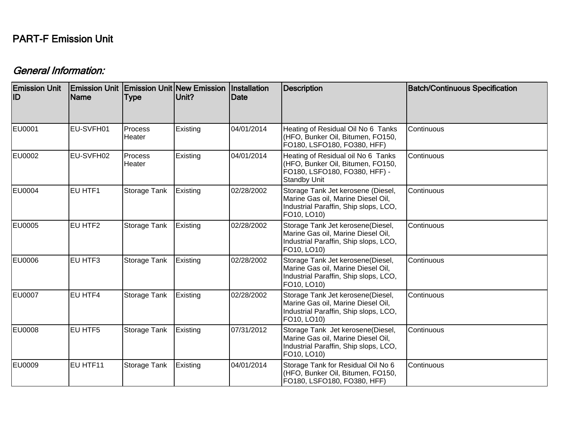## PART-F Emission Unit

## General Information:

| <b>Emission Unit</b><br>ID | <b>Emission Unit Emission Unit New Emission</b><br><b>Name</b> | <b>Type</b>       | Unit?    | Installation<br>Date | <b>Description</b>                                                                                                                            | <b>Batch/Continuous Specification</b> |
|----------------------------|----------------------------------------------------------------|-------------------|----------|----------------------|-----------------------------------------------------------------------------------------------------------------------------------------------|---------------------------------------|
| EU0001                     | EU-SVFH01                                                      | Process<br>Heater | Existing | 04/01/2014           | Heating of Residual Oil No 6 Tanks<br>Continuous<br>(HFO, Bunker Oil, Bitumen, FO150,<br>FO180, LSFO180, FO380, HFF)                          |                                       |
| <b>EU0002</b>              | EU-SVFH02                                                      | Process<br>Heater | Existing | 04/01/2014           | Heating of Residual oil No 6 Tanks<br>(HFO, Bunker Oil, Bitumen, FO150,<br>FO180, LSFO180, FO380, HFF) -<br><b>Standby Unit</b>               | Continuous                            |
| <b>EU0004</b>              | EU HTF1                                                        | Storage Tank      | Existing | 02/28/2002           | Storage Tank Jet kerosene (Diesel,<br>Marine Gas oil, Marine Diesel Oil,<br>Industrial Paraffin, Ship slops, LCO,<br>FO10, LO10)              | Continuous                            |
| <b>EU0005</b>              | EU HTF2                                                        | Storage Tank      | Existing | 02/28/2002           | Storage Tank Jet kerosene(Diesel,<br>Marine Gas oil, Marine Diesel Oil,<br>Industrial Paraffin, Ship slops, LCO,<br>FO10, LO10)               | Continuous                            |
| <b>EU0006</b>              | EU HTF3                                                        | Storage Tank      | Existing | 02/28/2002           | Storage Tank Jet kerosene(Diesel,<br>Marine Gas oil, Marine Diesel Oil,<br>Industrial Paraffin, Ship slops, LCO,<br>FO10, LO10)               | Continuous                            |
| <b>EU0007</b>              | EU HTF4                                                        | Storage Tank      | Existing | 02/28/2002           | Storage Tank Jet kerosene(Diesel,<br>Marine Gas oil, Marine Diesel Oil,<br>Industrial Paraffin, Ship slops, LCO,<br>FO10, LO10)               | Continuous                            |
| <b>EU0008</b>              | EU HTF5                                                        | Storage Tank      | Existing | 07/31/2012           | Storage Tank Jet kerosene(Diesel,<br>Continuous<br>Marine Gas oil, Marine Diesel Oil,<br>Industrial Paraffin, Ship slops, LCO,<br>FO10, LO10) |                                       |
| <b>EU0009</b>              | EU HTF11                                                       | Storage Tank      | Existing | 04/01/2014           | Storage Tank for Residual Oil No 6<br>(HFO, Bunker Oil, Bitumen, FO150,<br>FO180, LSFO180, FO380, HFF)                                        | Continuous                            |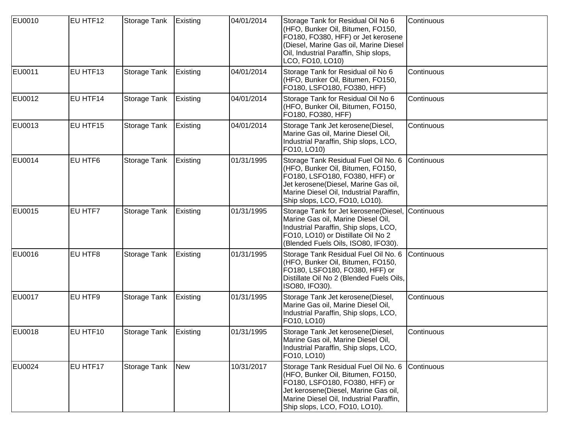| <b>EU0010</b> | EU HTF12 | Storage Tank | Existing        | 04/01/2014 | Storage Tank for Residual Oil No 6<br>(HFO, Bunker Oil, Bitumen, FO150,<br>FO180, FO380, HFF) or Jet kerosene<br>(Diesel, Marine Gas oil, Marine Diesel<br>Oil, Industrial Paraffin, Ship slops,<br>LCO, FO10, LO10)            | Continuous |
|---------------|----------|--------------|-----------------|------------|---------------------------------------------------------------------------------------------------------------------------------------------------------------------------------------------------------------------------------|------------|
| <b>EU0011</b> | EU HTF13 | Storage Tank | Existing        | 04/01/2014 | Storage Tank for Residual oil No 6<br>(HFO, Bunker Oil, Bitumen, FO150,<br>FO180, LSFO180, FO380, HFF)                                                                                                                          | Continuous |
| EU0012        | EU HTF14 | Storage Tank | Existing        | 04/01/2014 | Storage Tank for Residual Oil No 6<br>(HFO, Bunker Oil, Bitumen, FO150,<br>FO180, FO380, HFF)                                                                                                                                   | Continuous |
| EU0013        | EU HTF15 | Storage Tank | Existing        | 04/01/2014 | Storage Tank Jet kerosene(Diesel,<br>Marine Gas oil, Marine Diesel Oil,<br>Industrial Paraffin, Ship slops, LCO,<br>FO10, LO10)                                                                                                 | Continuous |
| EU0014        | EU HTF6  | Storage Tank | Existing        | 01/31/1995 | Storage Tank Residual Fuel Oil No. 6<br>(HFO, Bunker Oil, Bitumen, FO150,<br>FO180, LSFO180, FO380, HFF) or<br>Jet kerosene(Diesel, Marine Gas oil,<br>Marine Diesel Oil, Industrial Paraffin,<br>Ship slops, LCO, FO10, LO10). | Continuous |
| EU0015        | EU HTF7  | Storage Tank | Existing        | 01/31/1995 | Storage Tank for Jet kerosene(Diesel, Continuous<br>Marine Gas oil, Marine Diesel Oil,<br>Industrial Paraffin, Ship slops, LCO,<br>FO10, LO10) or Distillate Oil No 2<br>(Blended Fuels Oils, ISO80, IFO30).                    |            |
| EU0016        | EU HTF8  | Storage Tank | <b>Existing</b> | 01/31/1995 | Storage Tank Residual Fuel Oil No. 6<br>(HFO, Bunker Oil, Bitumen, FO150,<br>FO180, LSFO180, FO380, HFF) or<br>Distillate Oil No 2 (Blended Fuels Oils,<br>ISO80, IFO30).                                                       | Continuous |
| <b>EU0017</b> | EU HTF9  | Storage Tank | Existing        | 01/31/1995 | Storage Tank Jet kerosene(Diesel,<br>Marine Gas oil, Marine Diesel Oil,<br>Industrial Paraffin, Ship slops, LCO,<br>FO10, LO10)                                                                                                 | Continuous |
| EU0018        | EU HTF10 | Storage Tank | Existing        | 01/31/1995 | Storage Tank Jet kerosene(Diesel,<br>Marine Gas oil, Marine Diesel Oil,<br>Industrial Paraffin, Ship slops, LCO,<br>FO10, LO10)                                                                                                 | Continuous |
| EU0024        | EU HTF17 | Storage Tank | New             | 10/31/2017 | Storage Tank Residual Fuel Oil No. 6<br>(HFO, Bunker Oil, Bitumen, FO150,<br>FO180, LSFO180, FO380, HFF) or<br>Jet kerosene(Diesel, Marine Gas oil,<br>Marine Diesel Oil, Industrial Paraffin,<br>Ship slops, LCO, FO10, LO10). | Continuous |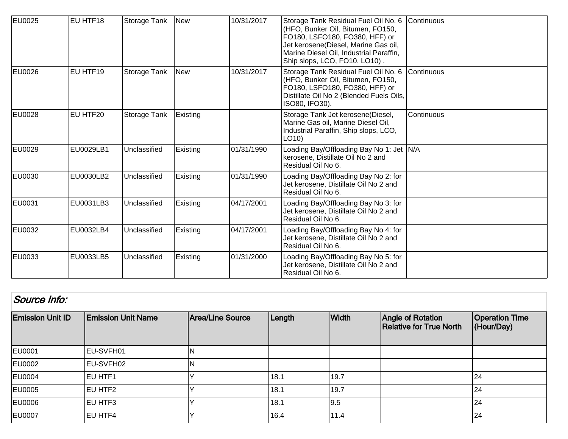| EU0025        | EU HTF18  | Storage Tank | <b>New</b> | 10/31/2017 | Storage Tank Residual Fuel Oil No. 6 Continuous<br>(HFO, Bunker Oil, Bitumen, FO150,<br>FO180, LSFO180, FO380, HFF) or<br>Jet kerosene(Diesel, Marine Gas oil,<br>Marine Diesel Oil, Industrial Paraffin,<br>Ship slops, LCO, FO10, LO10). |                   |
|---------------|-----------|--------------|------------|------------|--------------------------------------------------------------------------------------------------------------------------------------------------------------------------------------------------------------------------------------------|-------------------|
| EU0026        | EU HTF19  | Storage Tank | <b>New</b> | 10/31/2017 | Storage Tank Residual Fuel Oil No. 6<br>(HFO, Bunker Oil, Bitumen, FO150,<br>FO180, LSFO180, FO380, HFF) or<br>Distillate Oil No 2 (Blended Fuels Oils,<br>ISO80, IFO30).                                                                  | <b>Continuous</b> |
| EU0028        | EU HTF20  | Storage Tank | Existing   |            | Storage Tank Jet kerosene(Diesel,<br>Marine Gas oil, Marine Diesel Oil,<br>Industrial Paraffin, Ship slops, LCO,<br>LO10)                                                                                                                  | Continuous        |
| EU0029        | EU0029LB1 | Unclassified | Existing   | 01/31/1990 | Loading Bay/Offloading Bay No 1: Jet  N/A<br>kerosene, Distillate Oil No 2 and<br>Residual Oil No 6.                                                                                                                                       |                   |
| <b>EU0030</b> | EU0030LB2 | Unclassified | Existing   | 01/31/1990 | Loading Bay/Offloading Bay No 2: for<br>Jet kerosene, Distillate Oil No 2 and<br>Residual Oil No 6.                                                                                                                                        |                   |
| EU0031        | EU0031LB3 | Unclassified | Existing   | 04/17/2001 | Loading Bay/Offloading Bay No 3: for<br>Jet kerosene, Distillate Oil No 2 and<br>Residual Oil No 6.                                                                                                                                        |                   |
| <b>EU0032</b> | EU0032LB4 | Unclassified | Existing   | 04/17/2001 | Loading Bay/Offloading Bay No 4: for<br>Jet kerosene, Distillate Oil No 2 and<br>Residual Oil No 6.                                                                                                                                        |                   |
| EU0033        | EU0033LB5 | Unclassified | Existing   | 01/31/2000 | Loading Bay/Offloading Bay No 5: for<br>Jet kerosene, Distillate Oil No 2 and<br>Residual Oil No 6.                                                                                                                                        |                   |

| Source Info:            |                           |                  |        |              |                                                     |                                     |  |  |
|-------------------------|---------------------------|------------------|--------|--------------|-----------------------------------------------------|-------------------------------------|--|--|
| <b>Emission Unit ID</b> | <b>Emission Unit Name</b> | Area/Line Source | Length | <b>Width</b> | Angle of Rotation<br><b>Relative for True North</b> | <b>Operation Time</b><br>(Hour/Day) |  |  |
| <b>EU0001</b>           | EU-SVFH01                 | ΙN               |        |              |                                                     |                                     |  |  |
| EU0002                  | <b>IEU-SVFH02</b>         | IN               |        |              |                                                     |                                     |  |  |
| EU0004                  | <b>IEU HTF1</b>           |                  | 18.1   | 19.7         |                                                     | 24                                  |  |  |
| EU0005                  | <b>EU HTF2</b>            |                  | 18.1   | 19.7         |                                                     | 24                                  |  |  |
| EU0006                  | <b>EU HTF3</b>            |                  | 18.1   | 9.5          |                                                     | 24                                  |  |  |
| EU0007                  | <b>IEU HTF4</b>           |                  | 16.4   | 11.4         |                                                     | 24                                  |  |  |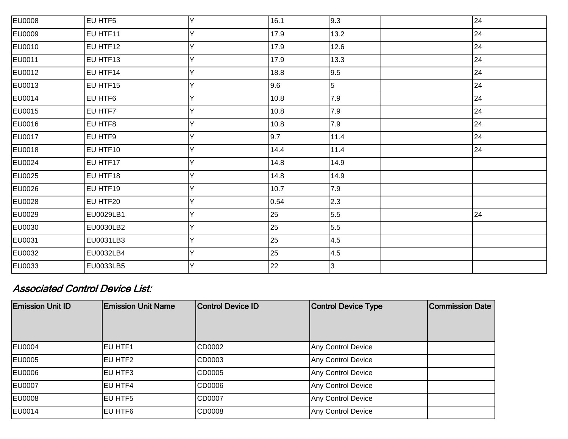| <b>EU0008</b> | EU HTF5          | Y | 16.1 | 9.3            | 24 |
|---------------|------------------|---|------|----------------|----|
| EU0009        | EU HTF11         | Y | 17.9 | 13.2           | 24 |
| EU0010        | EU HTF12         | Y | 17.9 | 12.6           | 24 |
| EU0011        | EU HTF13         | Y | 17.9 | 13.3           | 24 |
| EU0012        | EU HTF14         | Y | 18.8 | 9.5            | 24 |
| EU0013        | EU HTF15         | Y | 9.6  | $\overline{5}$ | 24 |
| EU0014        | EU HTF6          | Ý | 10.8 | 7.9            | 24 |
| EU0015        | EU HTF7          | Y | 10.8 | 7.9            | 24 |
| EU0016        | EU HTF8          | Y | 10.8 | 7.9            | 24 |
| EU0017        | EU HTF9          | v | 9.7  | 11.4           | 24 |
| EU0018        | EU HTF10         | Y | 14.4 | 11.4           | 24 |
| EU0024        | EU HTF17         | Y | 14.8 | 14.9           |    |
| EU0025        | EU HTF18         | Y | 14.8 | 14.9           |    |
| EU0026        | EU HTF19         | Υ | 10.7 | 7.9            |    |
| EU0028        | EU HTF20         | Y | 0.54 | 2.3            |    |
| EU0029        | <b>EU0029LB1</b> | Y | 25   | 5.5            | 24 |
| EU0030        | EU0030LB2        | Y | 25   | 5.5            |    |
| EU0031        | EU0031LB3        | Υ | 25   | 4.5            |    |
| EU0032        | EU0032LB4        | Y | 25   | 4.5            |    |
| EU0033        | EU0033LB5        | Y | 22   | 3              |    |

## Associated Control Device List:

| <b>Emission Unit ID</b> | <b>Emission Unit Name</b> | Control Device ID | <b>Control Device Type</b> | <b>Commission Date</b> |
|-------------------------|---------------------------|-------------------|----------------------------|------------------------|
|                         |                           |                   |                            |                        |
|                         |                           |                   |                            |                        |
| EU0004                  | <b>IEU HTF1</b>           | CD0002            | Any Control Device         |                        |
| EU0005                  | EU HTF2                   | CD0003            | Any Control Device         |                        |
| EU0006                  | <b>EU HTF3</b>            | CD0005            | Any Control Device         |                        |
| <b>EU0007</b>           | <b>EU HTF4</b>            | CD0006            | Any Control Device         |                        |
| EU0008                  | EU HTF5                   | CD0007            | Any Control Device         |                        |
| EU0014                  | EU HTF6                   | CD0008            | Any Control Device         |                        |